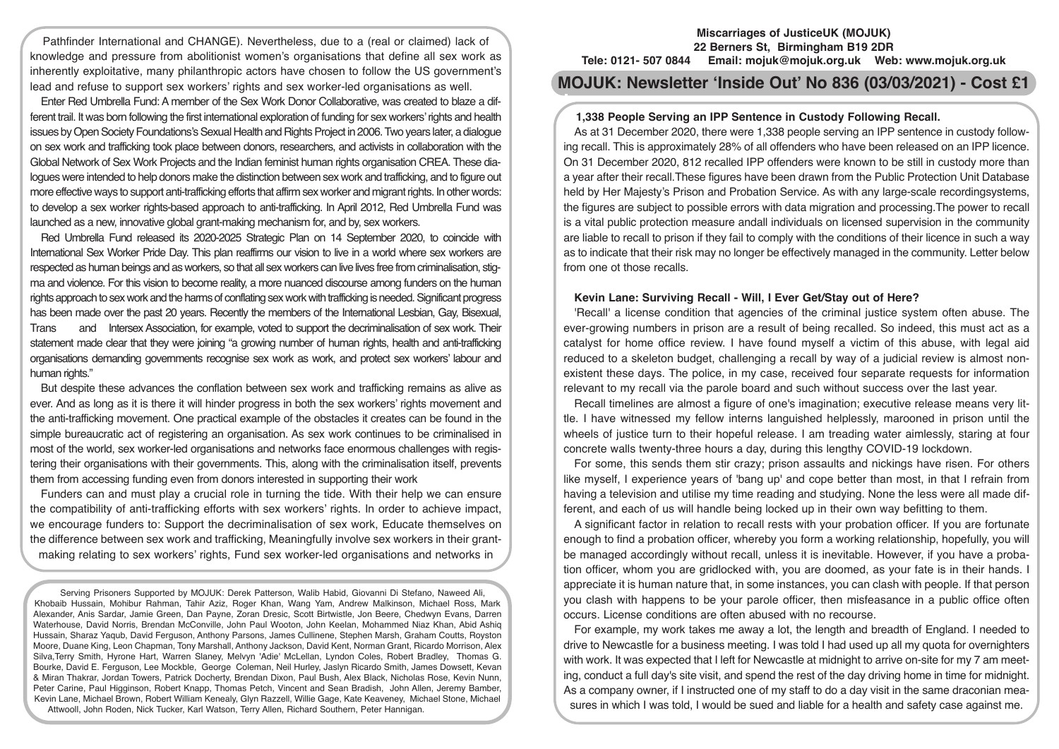Pathfinder International and CHANGE). Nevertheless, due to a (real or claimed) lack of knowledge and pressure from abolitionist women's organisations that define all sex work as inherently exploitative, many philanthropic actors have chosen to follow the US government's lead and refuse to support sex workers' rights and sex worker-led organisations as well.

Enter Red Umbrella Fund: A member of the Sex Work Donor Collaborative, was created to blaze a different trail. It was born following the first international exploration of funding for sex workers' rights and health issues by Open Society Foundations's Sexual Health and Rights Project in 2006. Two years later, a dialogue on sex work and trafficking took place between donors, researchers, and activists in collaboration with the Global Network of Sex Work Projects and the Indian feminist human rights organisation CREA. These dialogues were intended to help donors make the distinction between sex work and trafficking, and to figure out more effective ways to support anti-trafficking efforts that affirm sex worker and migrant rights. In other words: to develop a sex worker rights-based approach to anti-trafficking. In April 2012, Red Umbrella Fund was launched as a new, innovative global grant-making mechanism for, and by, sex workers.

Red Umbrella Fund released its 2020-2025 Strategic Plan on 14 September 2020, to coincide with International Sex Worker Pride Day. This plan reaffirms our vision to live in a world where sex workers are respected as human beings and as workers, so that all sex workers can live lives free from criminalisation, stigma and violence. For this vision to become reality, a more nuanced discourse among funders on the human rights approach to sex work and the harms of conflating sex work with trafficking is needed. Significant progress has been made over the past 20 years. Recently the members of the International Lesbian, Gay, Bisexual, Trans and Intersex Association, for example, voted to support the decriminalisation of sex work. Their statement made clear that they were joining "a growing number of human rights, health and anti-trafficking organisations demanding governments recognise sex work as work, and protect sex workers' labour and human rights."

But despite these advances the conflation between sex work and trafficking remains as alive as ever. And as long as it is there it will hinder progress in both the sex workers' rights movement and the anti-trafficking movement. One practical example of the obstacles it creates can be found in the simple bureaucratic act of registering an organisation. As sex work continues to be criminalised in most of the world, sex worker-led organisations and networks face enormous challenges with registering their organisations with their governments. This, along with the criminalisation itself, prevents them from accessing funding even from donors interested in supporting their work

Funders can and must play a crucial role in turning the tide. With their help we can ensure the compatibility of anti-trafficking efforts with sex workers' rights. In order to achieve impact, we encourage funders to: Support the decriminalisation of sex work, Educate themselves on the difference between sex work and trafficking, Meaningfully involve sex workers in their grantmaking relating to sex workers' rights, Fund sex worker-led organisations and networks in

Serving Prisoners Supported by MOJUK: Derek Patterson, Walib Habid, Giovanni Di Stefano, Naweed Ali, Khobaib Hussain, Mohibur Rahman, Tahir Aziz, Roger Khan, Wang Yam, Andrew Malkinson, Michael Ross, Mark Alexander, Anis Sardar, Jamie Green, Dan Payne, Zoran Dresic, Scott Birtwistle, Jon Beere, Chedwyn Evans, Darren Waterhouse, David Norris, Brendan McConville, John Paul Wooton, John Keelan, Mohammed Niaz Khan, Abid Ashiq Hussain, Sharaz Yaqub, David Ferguson, Anthony Parsons, James Cullinene, Stephen Marsh, Graham Coutts, Royston Moore, Duane King, Leon Chapman, Tony Marshall, Anthony Jackson, David Kent, Norman Grant, Ricardo Morrison, Alex Silva,Terry Smith, Hyrone Hart, Warren Slaney, Melvyn 'Adie' McLellan, Lyndon Coles, Robert Bradley, Thomas G. Bourke, David E. Ferguson, Lee Mockble, George Coleman, Neil Hurley, Jaslyn Ricardo Smith, James Dowsett, Kevan & Miran Thakrar, Jordan Towers, Patrick Docherty, Brendan Dixon, Paul Bush, Alex Black, Nicholas Rose, Kevin Nunn, Peter Carine, Paul Higginson, Robert Knapp, Thomas Petch, Vincent and Sean Bradish, John Allen, Jeremy Bamber, Kevin Lane, Michael Brown, Robert William Kenealy, Glyn Razzell, Willie Gage, Kate Keaveney, Michael Stone, Michael Attwooll, John Roden, Nick Tucker, Karl Watson, Terry Allen, Richard Southern, Peter Hannigan.

## **Miscarriages of JusticeUK (MOJUK) 22 Berners St, Birmingham B19 2DR Tele: 0121- 507 0844 Email: mojuk@mojuk.org.uk Web: www.mojuk.org.uk**

# **MOJUK: Newsletter 'Inside Out' No 836 (03/03/2021) - Cost £1**

## **1,338 People Serving an IPP Sentence in Custody Following Recall.**

As at 31 December 2020, there were 1,338 people serving an IPP sentence in custody following recall. This is approximately 28% of all offenders who have been released on an IPP licence. On 31 December 2020, 812 recalled IPP offenders were known to be still in custody more than a year after their recall.These figures have been drawn from the Public Protection Unit Database held by Her Majesty's Prison and Probation Service. As with any large-scale recordingsystems, the figures are subject to possible errors with data migration and processing.The power to recall is a vital public protection measure andall individuals on licensed supervision in the community are liable to recall to prison if they fail to comply with the conditions of their licence in such a way as to indicate that their risk may no longer be effectively managed in the community. Letter below from one ot those recalls.

## **Kevin Lane: Surviving Recall - Will, I Ever Get/Stay out of Here?**

'Recall' a license condition that agencies of the criminal justice system often abuse. The ever-growing numbers in prison are a result of being recalled. So indeed, this must act as a catalyst for home office review. I have found myself a victim of this abuse, with legal aid reduced to a skeleton budget, challenging a recall by way of a judicial review is almost nonexistent these days. The police, in my case, received four separate requests for information relevant to my recall via the parole board and such without success over the last year.

Recall timelines are almost a figure of one's imagination; executive release means very little. I have witnessed my fellow interns languished helplessly, marooned in prison until the wheels of justice turn to their hopeful release. I am treading water aimlessly, staring at four concrete walls twenty-three hours a day, during this lengthy COVID-19 lockdown.

For some, this sends them stir crazy; prison assaults and nickings have risen. For others like myself, I experience years of 'bang up' and cope better than most, in that I refrain from having a television and utilise my time reading and studying. None the less were all made different, and each of us will handle being locked up in their own way befitting to them.

A significant factor in relation to recall rests with your probation officer. If you are fortunate enough to find a probation officer, whereby you form a working relationship, hopefully, you will be managed accordingly without recall, unless it is inevitable. However, if you have a probation officer, whom you are gridlocked with, you are doomed, as your fate is in their hands. I appreciate it is human nature that, in some instances, you can clash with people. If that person you clash with happens to be your parole officer, then misfeasance in a public office often occurs. License conditions are often abused with no recourse.

For example, my work takes me away a lot, the length and breadth of England. I needed to drive to Newcastle for a business meeting. I was told I had used up all my quota for overnighters with work. It was expected that I left for Newcastle at midnight to arrive on-site for my 7 am meeting, conduct a full day's site visit, and spend the rest of the day driving home in time for midnight. As a company owner, if I instructed one of my staff to do a day visit in the same draconian measures in which I was told, I would be sued and liable for a health and safety case against me.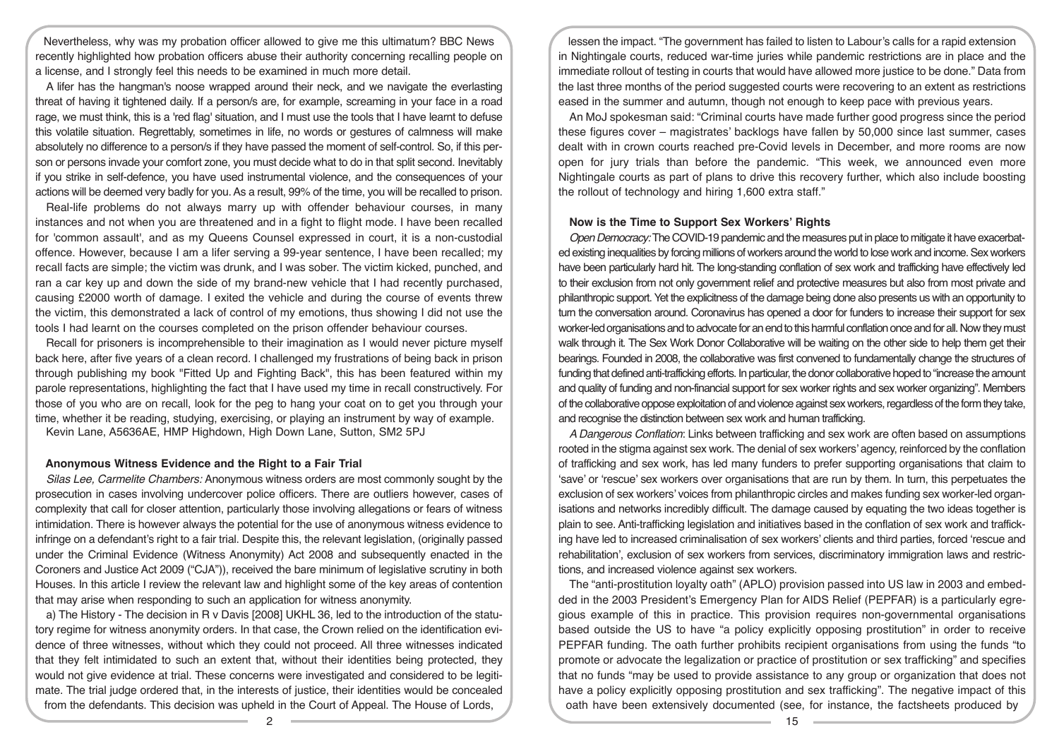Nevertheless, why was my probation officer allowed to give me this ultimatum? BBC News recently highlighted how probation officers abuse their authority concerning recalling people on a license, and I strongly feel this needs to be examined in much more detail.

A lifer has the hangman's noose wrapped around their neck, and we navigate the everlasting threat of having it tightened daily. If a person/s are, for example, screaming in your face in a road rage, we must think, this is a 'red flag' situation, and I must use the tools that I have learnt to defuse this volatile situation. Regrettably, sometimes in life, no words or gestures of calmness will make absolutely no difference to a person/s if they have passed the moment of self-control. So, if this person or persons invade your comfort zone, you must decide what to do in that split second. Inevitably if you strike in self-defence, you have used instrumental violence, and the consequences of your actions will be deemed very badly for you. As a result, 99% of the time, you will be recalled to prison.

Real-life problems do not always marry up with offender behaviour courses, in many instances and not when you are threatened and in a fight to flight mode. I have been recalled for 'common assault', and as my Queens Counsel expressed in court, it is a non-custodial offence. However, because I am a lifer serving a 99-year sentence, I have been recalled; my recall facts are simple; the victim was drunk, and I was sober. The victim kicked, punched, and ran a car key up and down the side of my brand-new vehicle that I had recently purchased, causing £2000 worth of damage. I exited the vehicle and during the course of events threw the victim, this demonstrated a lack of control of my emotions, thus showing I did not use the tools I had learnt on the courses completed on the prison offender behaviour courses.

Recall for prisoners is incomprehensible to their imagination as I would never picture myself back here, after five years of a clean record. I challenged my frustrations of being back in prison through publishing my book "Fitted Up and Fighting Back", this has been featured within my parole representations, highlighting the fact that I have used my time in recall constructively. For those of you who are on recall, look for the peg to hang your coat on to get you through your time, whether it be reading, studying, exercising, or playing an instrument by way of example. Kevin Lane, A5636AE, HMP Highdown, High Down Lane, Sutton, SM2 5PJ

## **Anonymous Witness Evidence and the Right to a Fair Trial**

*Silas Lee, Carmelite Chambers:* Anonymous witness orders are most commonly sought by the prosecution in cases involving undercover police officers. There are outliers however, cases of complexity that call for closer attention, particularly those involving allegations or fears of witness intimidation. There is however always the potential for the use of anonymous witness evidence to infringe on a defendant's right to a fair trial. Despite this, the relevant legislation, (originally passed under the Criminal Evidence (Witness Anonymity) Act 2008 and subsequently enacted in the Coroners and Justice Act 2009 ("CJA")), received the bare minimum of legislative scrutiny in both Houses. In this article I review the relevant law and highlight some of the key areas of contention that may arise when responding to such an application for witness anonymity.

a) The History - The decision in R v Davis [2008] UKHL 36, led to the introduction of the statutory regime for witness anonymity orders. In that case, the Crown relied on the identification evidence of three witnesses, without which they could not proceed. All three witnesses indicated that they felt intimidated to such an extent that, without their identities being protected, they would not give evidence at trial. These concerns were investigated and considered to be legitimate. The trial judge ordered that, in the interests of justice, their identities would be concealed from the defendants. This decision was upheld in the Court of Appeal. The House of Lords,

lessen the impact. "The government has failed to listen to Labour's calls for a rapid extension in Nightingale courts, reduced war-time juries while pandemic restrictions are in place and the immediate rollout of testing in courts that would have allowed more justice to be done." Data from the last three months of the period suggested courts were recovering to an extent as restrictions eased in the summer and autumn, though not enough to keep pace with previous years.

An MoJ spokesman said: "Criminal courts have made further good progress since the period these figures cover – magistrates' backlogs have fallen by 50,000 since last summer, cases dealt with in crown courts reached pre-Covid levels in December, and more rooms are now open for jury trials than before the pandemic. "This week, we announced even more Nightingale courts as part of plans to drive this recovery further, which also include boosting the rollout of technology and hiring 1,600 extra staff."

## **Now is the Time to Support Sex Workers' Rights**

*Open Democracy:* The COVID-19 pandemic and the measures put in place to mitigate it have exacerbated existing inequalities by forcing millions of workers around the world to lose work and income. Sex workers have been particularly hard hit. The long-standing conflation of sex work and trafficking have effectively led to their exclusion from not only government relief and protective measures but also from most private and philanthropic support. Yet the explicitness of the damage being done also presents us with an opportunity to turn the conversation around. Coronavirus has opened a door for funders to increase their support for sex worker-led organisations and to advocate for an end to this harmful conflation once and for all. Now they must walk through it. The Sex Work Donor Collaborative will be waiting on the other side to help them get their bearings. Founded in 2008, the collaborative was first convened to fundamentally change the structures of funding that defined anti-trafficking efforts. In particular, the donor collaborative hoped to "increase the amount and quality of funding and non-financial support for sex worker rights and sex worker organizing". Members of the collaborative oppose exploitation of and violence against sex workers, regardless of the form they take, and recognise the distinction between sex work and human trafficking.

*A Dangerous Conflation*: Links between trafficking and sex work are often based on assumptions rooted in the stigma against sex work. The denial of sex workers' agency, reinforced by the conflation of trafficking and sex work, has led many funders to prefer supporting organisations that claim to 'save' or 'rescue' sex workers over organisations that are run by them. In turn, this perpetuates the exclusion of sex workers' voices from philanthropic circles and makes funding sex worker-led organisations and networks incredibly difficult. The damage caused by equating the two ideas together is plain to see. Anti-trafficking legislation and initiatives based in the conflation of sex work and trafficking have led to increased criminalisation of sex workers' clients and third parties, forced 'rescue and rehabilitation', exclusion of sex workers from services, discriminatory immigration laws and restrictions, and increased violence against sex workers.

The "anti-prostitution loyalty oath" (APLO) provision passed into US law in 2003 and embedded in the 2003 President's Emergency Plan for AIDS Relief (PEPFAR) is a particularly egregious example of this in practice. This provision requires non-governmental organisations based outside the US to have "a policy explicitly opposing prostitution" in order to receive PEPFAR funding. The oath further prohibits recipient organisations from using the funds "to promote or advocate the legalization or practice of prostitution or sex trafficking" and specifies that no funds "may be used to provide assistance to any group or organization that does not have a policy explicitly opposing prostitution and sex trafficking". The negative impact of this oath have been extensively documented (see, for instance, the factsheets produced by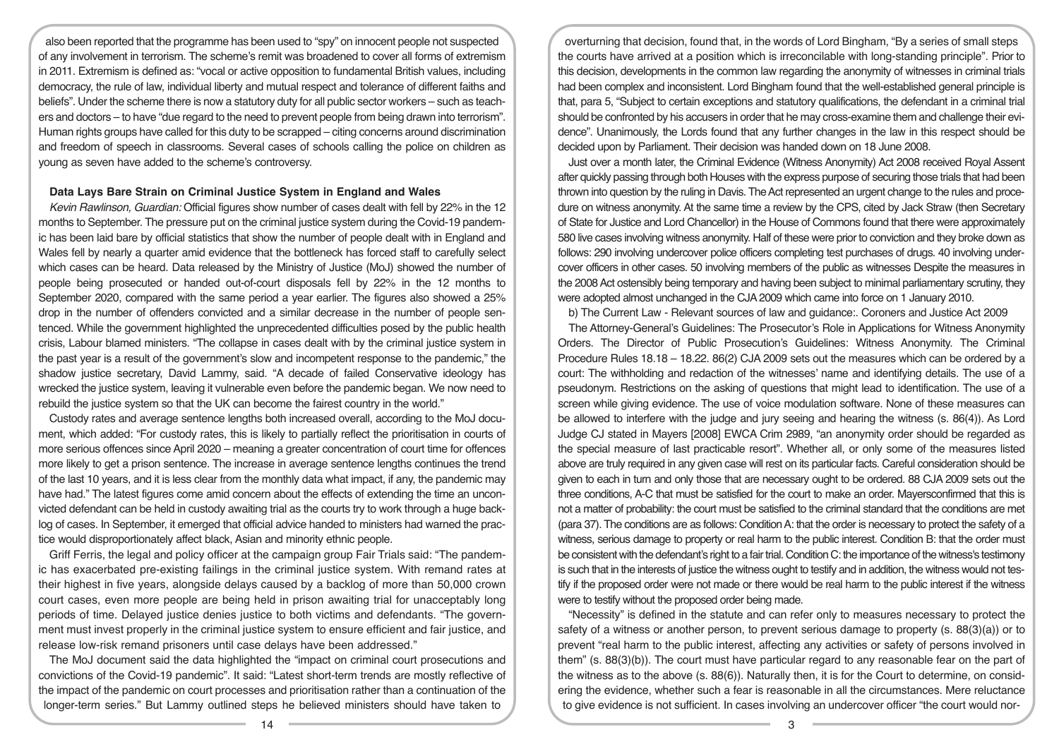also been reported that the programme has been used to "spy" on innocent people not suspected of any involvement in terrorism. The scheme's remit was broadened to cover all forms of extremism in 2011. Extremism is defined as: "vocal or active opposition to fundamental British values, including democracy, the rule of law, individual liberty and mutual respect and tolerance of different faiths and beliefs". Under the scheme there is now a statutory duty for all public sector workers – such as teachers and doctors – to have "due regard to the need to prevent people from being drawn into terrorism". Human rights groups have called for this duty to be scrapped – citing concerns around discrimination and freedom of speech in classrooms. Several cases of schools calling the police on children as young as seven have added to the scheme's controversy.

#### **Data Lays Bare Strain on Criminal Justice System in England and Wales**

*Kevin Rawlinson, Guardian:* Official figures show number of cases dealt with fell by 22% in the 12 months to September. The pressure put on the criminal justice system during the Covid-19 pandemic has been laid bare by official statistics that show the number of people dealt with in England and Wales fell by nearly a quarter amid evidence that the bottleneck has forced staff to carefully select which cases can be heard. Data released by the Ministry of Justice (MoJ) showed the number of people being prosecuted or handed out-of-court disposals fell by 22% in the 12 months to September 2020, compared with the same period a year earlier. The figures also showed a 25% drop in the number of offenders convicted and a similar decrease in the number of people sentenced. While the government highlighted the unprecedented difficulties posed by the public health crisis, Labour blamed ministers. "The collapse in cases dealt with by the criminal justice system in the past year is a result of the government's slow and incompetent response to the pandemic," the shadow justice secretary, David Lammy, said. "A decade of failed Conservative ideology has wrecked the justice system, leaving it vulnerable even before the pandemic began. We now need to rebuild the justice system so that the UK can become the fairest country in the world."

Custody rates and average sentence lengths both increased overall, according to the MoJ document, which added: "For custody rates, this is likely to partially reflect the prioritisation in courts of more serious offences since April 2020 – meaning a greater concentration of court time for offences more likely to get a prison sentence. The increase in average sentence lengths continues the trend of the last 10 years, and it is less clear from the monthly data what impact, if any, the pandemic may have had." The latest figures come amid concern about the effects of extending the time an unconvicted defendant can be held in custody awaiting trial as the courts try to work through a huge backlog of cases. In September, it emerged that official advice handed to ministers had warned the practice would disproportionately affect black, Asian and minority ethnic people.

Griff Ferris, the legal and policy officer at the campaign group Fair Trials said: "The pandemic has exacerbated pre-existing failings in the criminal justice system. With remand rates at their highest in five years, alongside delays caused by a backlog of more than 50,000 crown court cases, even more people are being held in prison awaiting trial for unacceptably long periods of time. Delayed justice denies justice to both victims and defendants. "The government must invest properly in the criminal justice system to ensure efficient and fair justice, and release low-risk remand prisoners until case delays have been addressed."

The MoJ document said the data highlighted the "impact on criminal court prosecutions and convictions of the Covid-19 pandemic". It said: "Latest short-term trends are mostly reflective of the impact of the pandemic on court processes and prioritisation rather than a continuation of the longer-term series." But Lammy outlined steps he believed ministers should have taken to

overturning that decision, found that, in the words of Lord Bingham, "By a series of small steps the courts have arrived at a position which is irreconcilable with long-standing principle". Prior to this decision, developments in the common law regarding the anonymity of witnesses in criminal trials had been complex and inconsistent. Lord Bingham found that the well-established general principle is that, para 5, "Subject to certain exceptions and statutory qualifications, the defendant in a criminal trial should be confronted by his accusers in order that he may cross-examine them and challenge their evidence". Unanimously, the Lords found that any further changes in the law in this respect should be decided upon by Parliament. Their decision was handed down on 18 June 2008.

Just over a month later, the Criminal Evidence (Witness Anonymity) Act 2008 received Royal Assent after quickly passing through both Houses with the express purpose of securing those trials that had been thrown into question by the ruling in Davis. The Act represented an urgent change to the rules and procedure on witness anonymity. At the same time a review by the CPS, cited by Jack Straw (then Secretary of State for Justice and Lord Chancellor) in the House of Commons found that there were approximately 580 live cases involving witness anonymity. Half of these were prior to conviction and they broke down as follows: 290 involving undercover police officers completing test purchases of drugs. 40 involving undercover officers in other cases. 50 involving members of the public as witnesses Despite the measures in the 2008 Act ostensibly being temporary and having been subject to minimal parliamentary scrutiny, they were adopted almost unchanged in the CJA 2009 which came into force on 1 January 2010.

b) The Current Law - Relevant sources of law and guidance:. Coroners and Justice Act 2009

The Attorney-General's Guidelines: The Prosecutor's Role in Applications for Witness Anonymity Orders. The Director of Public Prosecution's Guidelines: Witness Anonymity. The Criminal Procedure Rules 18.18 – 18.22. 86(2) CJA 2009 sets out the measures which can be ordered by a court: The withholding and redaction of the witnesses' name and identifying details. The use of a pseudonym. Restrictions on the asking of questions that might lead to identification. The use of a screen while giving evidence. The use of voice modulation software. None of these measures can be allowed to interfere with the judge and jury seeing and hearing the witness (s. 86(4)). As Lord Judge CJ stated in Mayers [2008] EWCA Crim 2989, "an anonymity order should be regarded as the special measure of last practicable resort". Whether all, or only some of the measures listed above are truly required in any given case will rest on its particular facts. Careful consideration should be given to each in turn and only those that are necessary ought to be ordered. 88 CJA 2009 sets out the three conditions, A-C that must be satisfied for the court to make an order. Mayersconfirmed that this is not a matter of probability: the court must be satisfied to the criminal standard that the conditions are met (para 37). The conditions are as follows: Condition A: that the order is necessary to protect the safety of a witness, serious damage to property or real harm to the public interest. Condition B: that the order must be consistent with the defendant's right to a fair trial. Condition C: the importance of the witness's testimony is such that in the interests of justice the witness ought to testify and in addition, the witness would not testify if the proposed order were not made or there would be real harm to the public interest if the witness were to testify without the proposed order being made.

"Necessity" is defined in the statute and can refer only to measures necessary to protect the safety of a witness or another person, to prevent serious damage to property (s. 88(3)(a)) or to prevent "real harm to the public interest, affecting any activities or safety of persons involved in them" (s. 88(3)(b)). The court must have particular regard to any reasonable fear on the part of the witness as to the above (s. 88(6)). Naturally then, it is for the Court to determine, on considering the evidence, whether such a fear is reasonable in all the circumstances. Mere reluctance to give evidence is not sufficient. In cases involving an undercover officer "the court would nor-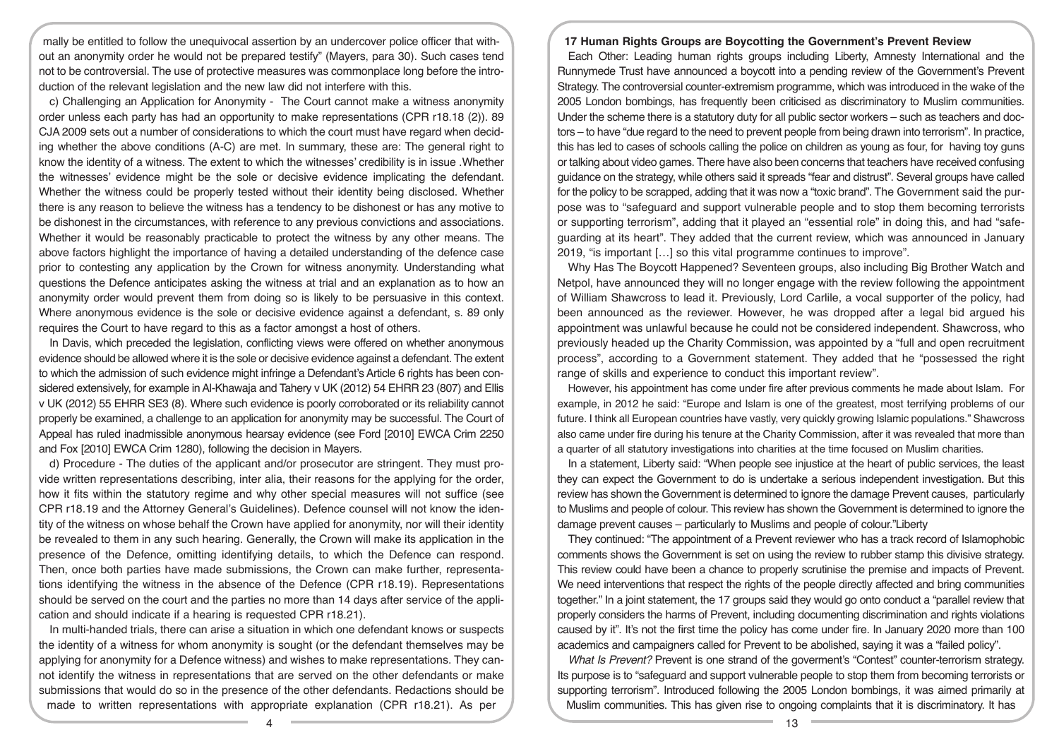mally be entitled to follow the unequivocal assertion by an undercover police officer that without an anonymity order he would not be prepared testify" (Mayers, para 30). Such cases tend not to be controversial. The use of protective measures was commonplace long before the introduction of the relevant legislation and the new law did not interfere with this.

c) Challenging an Application for Anonymity - The Court cannot make a witness anonymity order unless each party has had an opportunity to make representations (CPR r18.18 (2)). 89 CJA 2009 sets out a number of considerations to which the court must have regard when deciding whether the above conditions (A-C) are met. In summary, these are: The general right to know the identity of a witness. The extent to which the witnesses' credibility is in issue .Whether the witnesses' evidence might be the sole or decisive evidence implicating the defendant. Whether the witness could be properly tested without their identity being disclosed. Whether there is any reason to believe the witness has a tendency to be dishonest or has any motive to be dishonest in the circumstances, with reference to any previous convictions and associations. Whether it would be reasonably practicable to protect the witness by any other means. The above factors highlight the importance of having a detailed understanding of the defence case prior to contesting any application by the Crown for witness anonymity. Understanding what questions the Defence anticipates asking the witness at trial and an explanation as to how an anonymity order would prevent them from doing so is likely to be persuasive in this context. Where anonymous evidence is the sole or decisive evidence against a defendant, s. 89 only requires the Court to have regard to this as a factor amongst a host of others.

In Davis, which preceded the legislation, conflicting views were offered on whether anonymous evidence should be allowed where it is the sole or decisive evidence against a defendant. The extent to which the admission of such evidence might infringe a Defendant's Article 6 rights has been considered extensively, for example in Al-Khawaja and Tahery v UK (2012) 54 EHRR 23 (807) and Ellis v UK (2012) 55 EHRR SE3 (8). Where such evidence is poorly corroborated or its reliability cannot properly be examined, a challenge to an application for anonymity may be successful. The Court of Appeal has ruled inadmissible anonymous hearsay evidence (see Ford [2010] EWCA Crim 2250 and Fox [2010] EWCA Crim 1280), following the decision in Mayers.

d) Procedure - The duties of the applicant and/or prosecutor are stringent. They must provide written representations describing, inter alia, their reasons for the applying for the order, how it fits within the statutory regime and why other special measures will not suffice (see CPR r18.19 and the Attorney General's Guidelines). Defence counsel will not know the identity of the witness on whose behalf the Crown have applied for anonymity, nor will their identity be revealed to them in any such hearing. Generally, the Crown will make its application in the presence of the Defence, omitting identifying details, to which the Defence can respond. Then, once both parties have made submissions, the Crown can make further, representations identifying the witness in the absence of the Defence (CPR r18.19). Representations should be served on the court and the parties no more than 14 days after service of the application and should indicate if a hearing is requested CPR r18.21).

In multi-handed trials, there can arise a situation in which one defendant knows or suspects the identity of a witness for whom anonymity is sought (or the defendant themselves may be applying for anonymity for a Defence witness) and wishes to make representations. They cannot identify the witness in representations that are served on the other defendants or make submissions that would do so in the presence of the other defendants. Redactions should be made to written representations with appropriate explanation (CPR r18.21). As per

## **17 Human Rights Groups are Boycotting the Government's Prevent Review**

Each Other: Leading human rights groups including Liberty, Amnesty International and the Runnymede Trust have announced a boycott into a pending review of the Government's Prevent Strategy. The controversial counter-extremism programme, which was introduced in the wake of the 2005 London bombings, has frequently been criticised as discriminatory to Muslim communities. Under the scheme there is a statutory duty for all public sector workers – such as teachers and doctors – to have "due regard to the need to prevent people from being drawn into terrorism". In practice, this has led to cases of schools calling the police on children as young as four, for having toy guns or talking about video games. There have also been concerns that teachers have received confusing guidance on the strategy, while others said it spreads "fear and distrust". Several groups have called for the policy to be scrapped, adding that it was now a "toxic brand". The Government said the purpose was to "safeguard and support vulnerable people and to stop them becoming terrorists or supporting terrorism", adding that it played an "essential role" in doing this, and had "safeguarding at its heart". They added that the current review, which was announced in January 2019, "is important […] so this vital programme continues to improve".

Why Has The Boycott Happened? Seventeen groups, also including Big Brother Watch and Netpol, have announced they will no longer engage with the review following the appointment of William Shawcross to lead it. Previously, Lord Carlile, a vocal supporter of the policy, had been announced as the reviewer. However, he was dropped after a legal bid argued his appointment was unlawful because he could not be considered independent. Shawcross, who previously headed up the Charity Commission, was appointed by a "full and open recruitment process", according to a Government statement. They added that he "possessed the right range of skills and experience to conduct this important review".

However, his appointment has come under fire after previous comments he made about Islam. For example, in 2012 he said: "Europe and Islam is one of the greatest, most terrifying problems of our future. I think all European countries have vastly, very quickly growing Islamic populations." Shawcross also came under fire during his tenure at the Charity Commission, after it was revealed that more than a quarter of all statutory investigations into charities at the time focused on Muslim charities.

In a statement, Liberty said: "When people see injustice at the heart of public services, the least they can expect the Government to do is undertake a serious independent investigation. But this review has shown the Government is determined to ignore the damage Prevent causes, particularly to Muslims and people of colour. This review has shown the Government is determined to ignore the damage prevent causes – particularly to Muslims and people of colour."Liberty

They continued: "The appointment of a Prevent reviewer who has a track record of Islamophobic comments shows the Government is set on using the review to rubber stamp this divisive strategy. This review could have been a chance to properly scrutinise the premise and impacts of Prevent. We need interventions that respect the rights of the people directly affected and bring communities together." In a joint statement, the 17 groups said they would go onto conduct a "parallel review that properly considers the harms of Prevent, including documenting discrimination and rights violations caused by it". It's not the first time the policy has come under fire. In January 2020 more than 100 academics and campaigners called for Prevent to be abolished, saying it was a "failed policy".

*What Is Prevent?* Prevent is one strand of the goverment's "Contest" counter-terrorism strategy. Its purpose is to "safeguard and support vulnerable people to stop them from becoming terrorists or supporting terrorism". Introduced following the 2005 London bombings, it was aimed primarily at Muslim communities. This has given rise to ongoing complaints that it is discriminatory. It has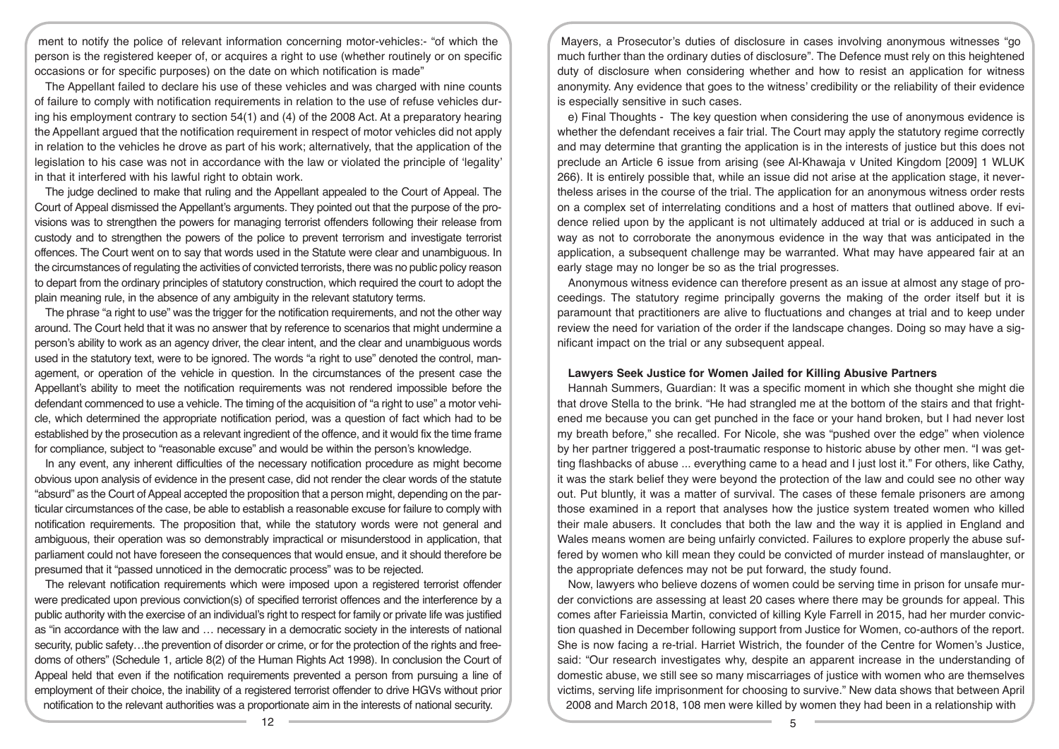ment to notify the police of relevant information concerning motor-vehicles:- "of which the person is the registered keeper of, or acquires a right to use (whether routinely or on specific occasions or for specific purposes) on the date on which notification is made"

The Appellant failed to declare his use of these vehicles and was charged with nine counts of failure to comply with notification requirements in relation to the use of refuse vehicles during his employment contrary to section 54(1) and (4) of the 2008 Act. At a preparatory hearing the Appellant argued that the notification requirement in respect of motor vehicles did not apply in relation to the vehicles he drove as part of his work; alternatively, that the application of the legislation to his case was not in accordance with the law or violated the principle of 'legality' in that it interfered with his lawful right to obtain work.

The judge declined to make that ruling and the Appellant appealed to the Court of Appeal. The Court of Appeal dismissed the Appellant's arguments. They pointed out that the purpose of the provisions was to strengthen the powers for managing terrorist offenders following their release from custody and to strengthen the powers of the police to prevent terrorism and investigate terrorist offences. The Court went on to say that words used in the Statute were clear and unambiguous. In the circumstances of regulating the activities of convicted terrorists, there was no public policy reason to depart from the ordinary principles of statutory construction, which required the court to adopt the plain meaning rule, in the absence of any ambiguity in the relevant statutory terms.

The phrase "a right to use" was the trigger for the notification requirements, and not the other way around. The Court held that it was no answer that by reference to scenarios that might undermine a person's ability to work as an agency driver, the clear intent, and the clear and unambiguous words used in the statutory text, were to be ignored. The words "a right to use" denoted the control, management, or operation of the vehicle in question. In the circumstances of the present case the Appellant's ability to meet the notification requirements was not rendered impossible before the defendant commenced to use a vehicle. The timing of the acquisition of "a right to use" a motor vehicle, which determined the appropriate notification period, was a question of fact which had to be established by the prosecution as a relevant ingredient of the offence, and it would fix the time frame for compliance, subject to "reasonable excuse" and would be within the person's knowledge.

In any event, any inherent difficulties of the necessary notification procedure as might become obvious upon analysis of evidence in the present case, did not render the clear words of the statute "absurd" as the Court of Appeal accepted the proposition that a person might, depending on the particular circumstances of the case, be able to establish a reasonable excuse for failure to comply with notification requirements. The proposition that, while the statutory words were not general and ambiguous, their operation was so demonstrably impractical or misunderstood in application, that parliament could not have foreseen the consequences that would ensue, and it should therefore be presumed that it "passed unnoticed in the democratic process" was to be rejected.

The relevant notification requirements which were imposed upon a registered terrorist offender were predicated upon previous conviction(s) of specified terrorist offences and the interference by a public authority with the exercise of an individual's right to respect for family or private life was justified as "in accordance with the law and … necessary in a democratic society in the interests of national security, public safety...the prevention of disorder or crime, or for the protection of the rights and freedoms of others" (Schedule 1, article 8(2) of the Human Rights Act 1998). In conclusion the Court of Appeal held that even if the notification requirements prevented a person from pursuing a line of employment of their choice, the inability of a registered terrorist offender to drive HGVs without prior notification to the relevant authorities was a proportionate aim in the interests of national security.

Mayers, a Prosecutor's duties of disclosure in cases involving anonymous witnesses "go much further than the ordinary duties of disclosure". The Defence must rely on this heightened duty of disclosure when considering whether and how to resist an application for witness anonymity. Any evidence that goes to the witness' credibility or the reliability of their evidence is especially sensitive in such cases.

e) Final Thoughts - The key question when considering the use of anonymous evidence is whether the defendant receives a fair trial. The Court may apply the statutory regime correctly and may determine that granting the application is in the interests of justice but this does not preclude an Article 6 issue from arising (see Al-Khawaja v United Kingdom [2009] 1 WLUK 266). It is entirely possible that, while an issue did not arise at the application stage, it nevertheless arises in the course of the trial. The application for an anonymous witness order rests on a complex set of interrelating conditions and a host of matters that outlined above. If evidence relied upon by the applicant is not ultimately adduced at trial or is adduced in such a way as not to corroborate the anonymous evidence in the way that was anticipated in the application, a subsequent challenge may be warranted. What may have appeared fair at an early stage may no longer be so as the trial progresses.

Anonymous witness evidence can therefore present as an issue at almost any stage of proceedings. The statutory regime principally governs the making of the order itself but it is paramount that practitioners are alive to fluctuations and changes at trial and to keep under review the need for variation of the order if the landscape changes. Doing so may have a significant impact on the trial or any subsequent appeal.

## **Lawyers Seek Justice for Women Jailed for Killing Abusive Partners**

Hannah Summers, Guardian: It was a specific moment in which she thought she might die that drove Stella to the brink. "He had strangled me at the bottom of the stairs and that frightened me because you can get punched in the face or your hand broken, but I had never lost my breath before," she recalled. For Nicole, she was "pushed over the edge" when violence by her partner triggered a post-traumatic response to historic abuse by other men. "I was getting flashbacks of abuse ... everything came to a head and I just lost it." For others, like Cathy, it was the stark belief they were beyond the protection of the law and could see no other way out. Put bluntly, it was a matter of survival. The cases of these female prisoners are among those examined in a report that analyses how the justice system treated women who killed their male abusers. It concludes that both the law and the way it is applied in England and Wales means women are being unfairly convicted. Failures to explore properly the abuse suffered by women who kill mean they could be convicted of murder instead of manslaughter, or the appropriate defences may not be put forward, the study found.

Now, lawyers who believe dozens of women could be serving time in prison for unsafe murder convictions are assessing at least 20 cases where there may be grounds for appeal. This comes after Farieissia Martin, convicted of killing Kyle Farrell in 2015, had her murder conviction quashed in December following support from Justice for Women, co-authors of the report. She is now facing a re-trial. Harriet Wistrich, the founder of the Centre for Women's Justice, said: "Our research investigates why, despite an apparent increase in the understanding of domestic abuse, we still see so many miscarriages of justice with women who are themselves victims, serving life imprisonment for choosing to survive." New data shows that between April 2008 and March 2018, 108 men were killed by women they had been in a relationship with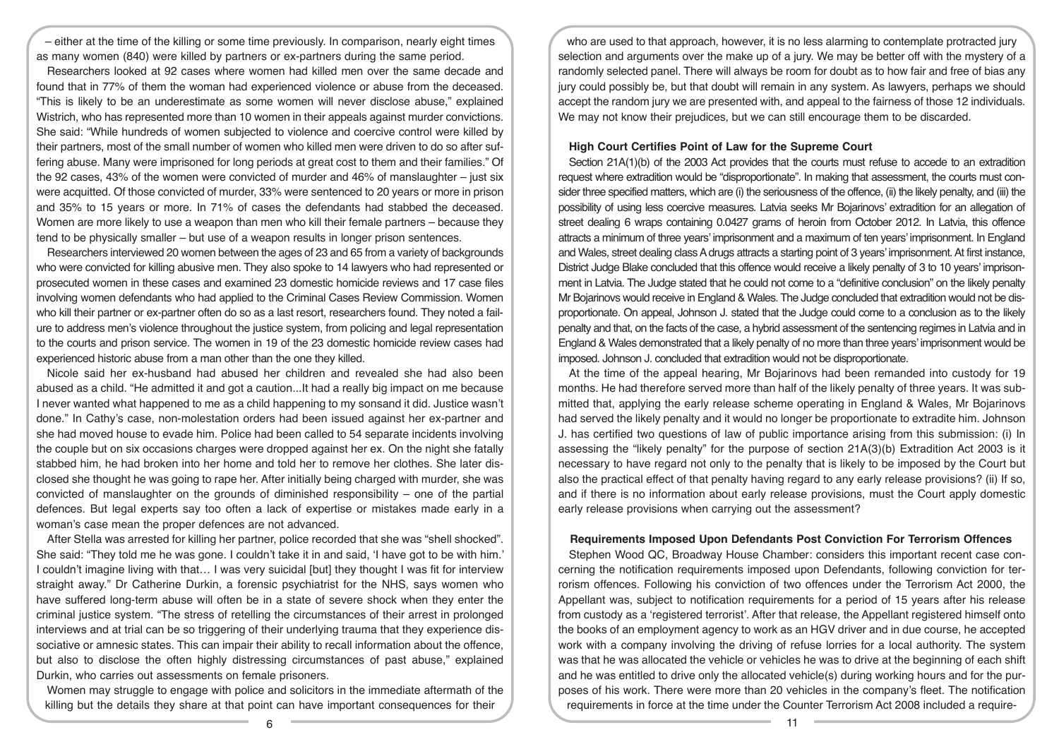– either at the time of the killing or some time previously. In comparison, nearly eight times as many women (840) were killed by partners or ex-partners during the same period.

Researchers looked at 92 cases where women had killed men over the same decade and found that in 77% of them the woman had experienced violence or abuse from the deceased. "This is likely to be an underestimate as some women will never disclose abuse," explained Wistrich, who has represented more than 10 women in their appeals against murder convictions. She said: "While hundreds of women subjected to violence and coercive control were killed by their partners, most of the small number of women who killed men were driven to do so after suffering abuse. Many were imprisoned for long periods at great cost to them and their families." Of the 92 cases, 43% of the women were convicted of murder and 46% of manslaughter – just six were acquitted. Of those convicted of murder, 33% were sentenced to 20 years or more in prison and 35% to 15 years or more. In 71% of cases the defendants had stabbed the deceased. Women are more likely to use a weapon than men who kill their female partners – because they tend to be physically smaller – but use of a weapon results in longer prison sentences.

Researchers interviewed 20 women between the ages of 23 and 65 from a variety of backgrounds who were convicted for killing abusive men. They also spoke to 14 lawyers who had represented or prosecuted women in these cases and examined 23 domestic homicide reviews and 17 case files involving women defendants who had applied to the Criminal Cases Review Commission. Women who kill their partner or ex-partner often do so as a last resort, researchers found. They noted a failure to address men's violence throughout the justice system, from policing and legal representation to the courts and prison service. The women in 19 of the 23 domestic homicide review cases had experienced historic abuse from a man other than the one they killed.

Nicole said her ex-husband had abused her children and revealed she had also been abused as a child. "He admitted it and got a caution...It had a really big impact on me because I never wanted what happened to me as a child happening to my sonsand it did. Justice wasn't done." In Cathy's case, non-molestation orders had been issued against her ex-partner and she had moved house to evade him. Police had been called to 54 separate incidents involving the couple but on six occasions charges were dropped against her ex. On the night she fatally stabbed him, he had broken into her home and told her to remove her clothes. She later disclosed she thought he was going to rape her. After initially being charged with murder, she was convicted of manslaughter on the grounds of diminished responsibility – one of the partial defences. But legal experts say too often a lack of expertise or mistakes made early in a woman's case mean the proper defences are not advanced.

After Stella was arrested for killing her partner, police recorded that she was "shell shocked". She said: "They told me he was gone. I couldn't take it in and said, 'I have got to be with him.' I couldn't imagine living with that… I was very suicidal [but] they thought I was fit for interview straight away." Dr Catherine Durkin, a forensic psychiatrist for the NHS, says women who have suffered long-term abuse will often be in a state of severe shock when they enter the criminal justice system. "The stress of retelling the circumstances of their arrest in prolonged interviews and at trial can be so triggering of their underlying trauma that they experience dissociative or amnesic states. This can impair their ability to recall information about the offence, but also to disclose the often highly distressing circumstances of past abuse," explained Durkin, who carries out assessments on female prisoners.

Women may struggle to engage with police and solicitors in the immediate aftermath of the killing but the details they share at that point can have important consequences for their

who are used to that approach, however, it is no less alarming to contemplate protracted jury selection and arguments over the make up of a jury. We may be better off with the mystery of a randomly selected panel. There will always be room for doubt as to how fair and free of bias any jury could possibly be, but that doubt will remain in any system. As lawyers, perhaps we should accept the random jury we are presented with, and appeal to the fairness of those 12 individuals. We may not know their prejudices, but we can still encourage them to be discarded.

## **High Court Certifies Point of Law for the Supreme Court**

Section 21A(1)(b) of the 2003 Act provides that the courts must refuse to accede to an extradition request where extradition would be "disproportionate". In making that assessment, the courts must consider three specified matters, which are (i) the seriousness of the offence, (ii) the likely penalty, and (iii) the possibility of using less coercive measures. Latvia seeks Mr Bojarinovs' extradition for an allegation of street dealing 6 wraps containing 0.0427 grams of heroin from October 2012. In Latvia, this offence attracts a minimum of three years' imprisonment and a maximum of ten years' imprisonment. In England and Wales, street dealing class A drugs attracts a starting point of 3 years' imprisonment. At first instance, District Judge Blake concluded that this offence would receive a likely penalty of 3 to 10 years' imprisonment in Latvia. The Judge stated that he could not come to a "definitive conclusion" on the likely penalty Mr Bojarinovs would receive in England & Wales. The Judge concluded that extradition would not be disproportionate. On appeal, Johnson J. stated that the Judge could come to a conclusion as to the likely penalty and that, on the facts of the case, a hybrid assessment of the sentencing regimes in Latvia and in England & Wales demonstrated that a likely penalty of no more than three years' imprisonment would be imposed. Johnson J. concluded that extradition would not be disproportionate.

At the time of the appeal hearing, Mr Bojarinovs had been remanded into custody for 19 months. He had therefore served more than half of the likely penalty of three years. It was submitted that, applying the early release scheme operating in England & Wales, Mr Bojarinovs had served the likely penalty and it would no longer be proportionate to extradite him. Johnson J. has certified two questions of law of public importance arising from this submission: (i) In assessing the "likely penalty" for the purpose of section 21A(3)(b) Extradition Act 2003 is it necessary to have regard not only to the penalty that is likely to be imposed by the Court but also the practical effect of that penalty having regard to any early release provisions? (ii) If so, and if there is no information about early release provisions, must the Court apply domestic early release provisions when carrying out the assessment?

#### **Requirements Imposed Upon Defendants Post Conviction For Terrorism Offences**

Stephen Wood QC, Broadway House Chamber: considers this important recent case concerning the notification requirements imposed upon Defendants, following conviction for terrorism offences. Following his conviction of two offences under the Terrorism Act 2000, the Appellant was, subject to notification requirements for a period of 15 years after his release from custody as a 'registered terrorist'. After that release, the Appellant registered himself onto the books of an employment agency to work as an HGV driver and in due course, he accepted work with a company involving the driving of refuse lorries for a local authority. The system was that he was allocated the vehicle or vehicles he was to drive at the beginning of each shift and he was entitled to drive only the allocated vehicle(s) during working hours and for the purposes of his work. There were more than 20 vehicles in the company's fleet. The notification requirements in force at the time under the Counter Terrorism Act 2008 included a require-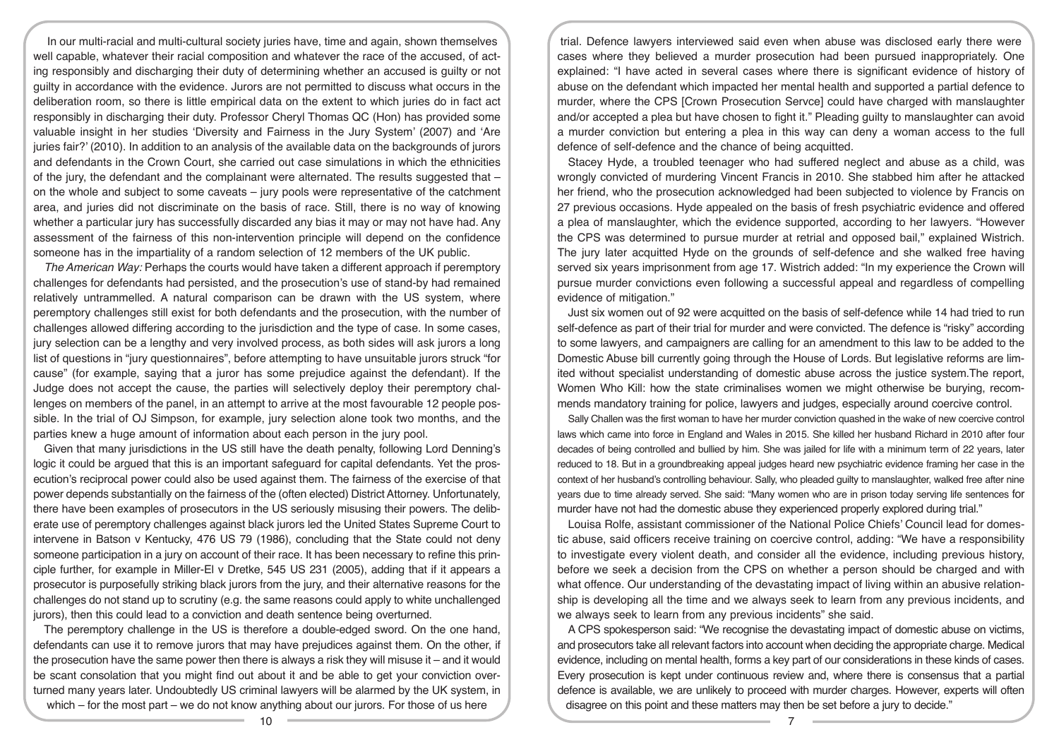In our multi-racial and multi-cultural society juries have, time and again, shown themselves well capable, whatever their racial composition and whatever the race of the accused, of acting responsibly and discharging their duty of determining whether an accused is guilty or not guilty in accordance with the evidence. Jurors are not permitted to discuss what occurs in the deliberation room, so there is little empirical data on the extent to which juries do in fact act responsibly in discharging their duty. Professor Cheryl Thomas QC (Hon) has provided some valuable insight in her studies 'Diversity and Fairness in the Jury System' (2007) and 'Are juries fair?' (2010). In addition to an analysis of the available data on the backgrounds of jurors and defendants in the Crown Court, she carried out case simulations in which the ethnicities of the jury, the defendant and the complainant were alternated. The results suggested that – on the whole and subject to some caveats – jury pools were representative of the catchment area, and juries did not discriminate on the basis of race. Still, there is no way of knowing whether a particular jury has successfully discarded any bias it may or may not have had. Any assessment of the fairness of this non-intervention principle will depend on the confidence someone has in the impartiality of a random selection of 12 members of the UK public.

*The American Way:* Perhaps the courts would have taken a different approach if peremptory challenges for defendants had persisted, and the prosecution's use of stand-by had remained relatively untrammelled. A natural comparison can be drawn with the US system, where peremptory challenges still exist for both defendants and the prosecution, with the number of challenges allowed differing according to the jurisdiction and the type of case. In some cases, jury selection can be a lengthy and very involved process, as both sides will ask jurors a long list of questions in "jury questionnaires", before attempting to have unsuitable jurors struck "for cause" (for example, saying that a juror has some prejudice against the defendant). If the Judge does not accept the cause, the parties will selectively deploy their peremptory challenges on members of the panel, in an attempt to arrive at the most favourable 12 people possible. In the trial of OJ Simpson, for example, jury selection alone took two months, and the parties knew a huge amount of information about each person in the jury pool.

Given that many jurisdictions in the US still have the death penalty, following Lord Denning's logic it could be argued that this is an important safeguard for capital defendants. Yet the prosecution's reciprocal power could also be used against them. The fairness of the exercise of that power depends substantially on the fairness of the (often elected) District Attorney. Unfortunately, there have been examples of prosecutors in the US seriously misusing their powers. The deliberate use of peremptory challenges against black jurors led the United States Supreme Court to intervene in Batson v Kentucky, 476 US 79 (1986), concluding that the State could not deny someone participation in a jury on account of their race. It has been necessary to refine this principle further, for example in Miller-El v Dretke, 545 US 231 (2005), adding that if it appears a prosecutor is purposefully striking black jurors from the jury, and their alternative reasons for the challenges do not stand up to scrutiny (e.g. the same reasons could apply to white unchallenged jurors), then this could lead to a conviction and death sentence being overturned.

The peremptory challenge in the US is therefore a double-edged sword. On the one hand, defendants can use it to remove jurors that may have prejudices against them. On the other, if the prosecution have the same power then there is always a risk they will misuse it – and it would be scant consolation that you might find out about it and be able to get your conviction overturned many years later. Undoubtedly US criminal lawyers will be alarmed by the UK system, in which – for the most part – we do not know anything about our jurors. For those of us here

trial. Defence lawyers interviewed said even when abuse was disclosed early there were cases where they believed a murder prosecution had been pursued inappropriately. One explained: "I have acted in several cases where there is significant evidence of history of abuse on the defendant which impacted her mental health and supported a partial defence to murder, where the CPS [Crown Prosecution Servce] could have charged with manslaughter and/or accepted a plea but have chosen to fight it." Pleading guilty to manslaughter can avoid a murder conviction but entering a plea in this way can deny a woman access to the full defence of self-defence and the chance of being acquitted.

Stacey Hyde, a troubled teenager who had suffered neglect and abuse as a child, was wrongly convicted of murdering Vincent Francis in 2010. She stabbed him after he attacked her friend, who the prosecution acknowledged had been subjected to violence by Francis on 27 previous occasions. Hyde appealed on the basis of fresh psychiatric evidence and offered a plea of manslaughter, which the evidence supported, according to her lawyers. "However the CPS was determined to pursue murder at retrial and opposed bail," explained Wistrich. The jury later acquitted Hyde on the grounds of self-defence and she walked free having served six years imprisonment from age 17. Wistrich added: "In my experience the Crown will pursue murder convictions even following a successful appeal and regardless of compelling evidence of mitigation."

Just six women out of 92 were acquitted on the basis of self-defence while 14 had tried to run self-defence as part of their trial for murder and were convicted. The defence is "risky" according to some lawyers, and campaigners are calling for an amendment to this law to be added to the Domestic Abuse bill currently going through the House of Lords. But legislative reforms are limited without specialist understanding of domestic abuse across the justice system.The report, Women Who Kill: how the state criminalises women we might otherwise be burying, recommends mandatory training for police, lawyers and judges, especially around coercive control.

Sally Challen was the first woman to have her murder conviction quashed in the wake of new coercive control laws which came into force in England and Wales in 2015. She killed her husband Richard in 2010 after four decades of being controlled and bullied by him. She was jailed for life with a minimum term of 22 years, later reduced to 18. But in a groundbreaking appeal judges heard new psychiatric evidence framing her case in the context of her husband's controlling behaviour. Sally, who pleaded guilty to manslaughter, walked free after nine years due to time already served. She said: "Many women who are in prison today serving life sentences for murder have not had the domestic abuse they experienced properly explored during trial."

Louisa Rolfe, assistant commissioner of the National Police Chiefs' Council lead for domestic abuse, said officers receive training on coercive control, adding: "We have a responsibility to investigate every violent death, and consider all the evidence, including previous history, before we seek a decision from the CPS on whether a person should be charged and with what offence. Our understanding of the devastating impact of living within an abusive relationship is developing all the time and we always seek to learn from any previous incidents, and we always seek to learn from any previous incidents" she said.

A CPS spokesperson said: "We recognise the devastating impact of domestic abuse on victims, and prosecutors take all relevant factors into account when deciding the appropriate charge. Medical evidence, including on mental health, forms a key part of our considerations in these kinds of cases. Every prosecution is kept under continuous review and, where there is consensus that a partial defence is available, we are unlikely to proceed with murder charges. However, experts will often disagree on this point and these matters may then be set before a jury to decide."

 $\sim$  7